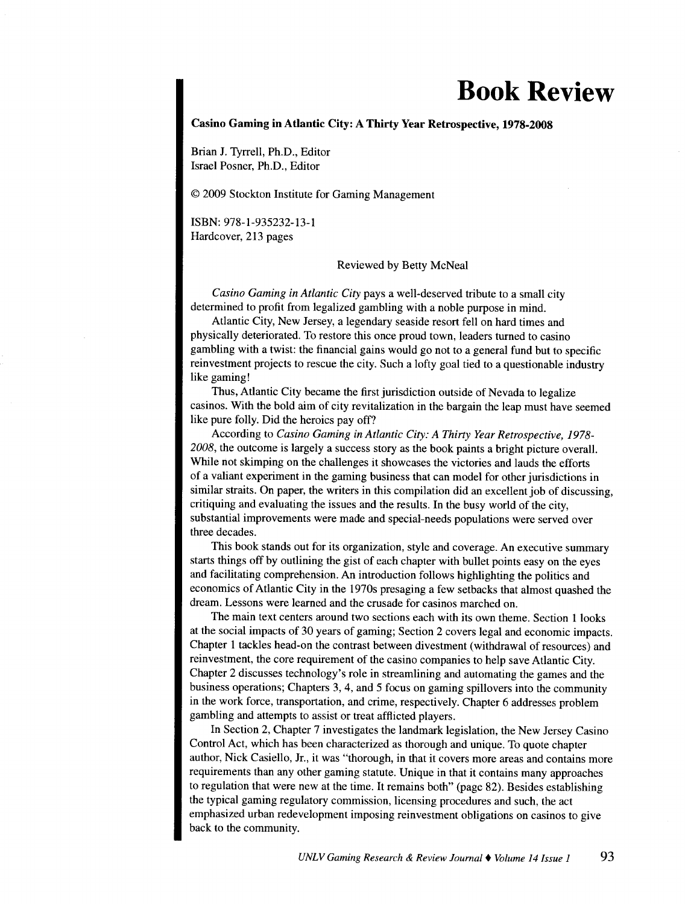## **Book Review**

## **Casino Gaming in Atlantic City: A Thirty Year Retrospective, 1978-2008**

Brian J. Tyrrell, Ph.D., Editor Israel Posner, Ph.D., Editor

© 2009 Stockton Institute for Gaming Management

ISBN: 978-1-935232-13-1 Hardcover, 213 pages

Reviewed by Betty McNeal

*Casino Gaming in Atlantic City* pays a well-deserved tribute to a small city determined to profit from legalized gambling with a noble purpose in mind.

Atlantic City, New Jersey, a legendary seaside resort fell on hard times and <sup>p</sup>hysically deteriorated. To restore this once proud town, leaders turned to casino gambling with a twist: the financial gains would go not to a general fund but to specific reinvestment projects to rescue the city. Such a lofty goal tied to a questionable industry like gaming!

Thus, Atlantic City became the first jurisdiction outside of Nevada to legalize casinos. With the bold aim of city revitalization in the bargain the leap must have seemed like pure folly. Did the heroics pay off?

According to *Casino Gaming in Atlantic City: A Thirty Year Retrospective, 1978-* 2008, the outcome is largely a success story as the book paints a bright picture overall. While not skimping on the challenges it showcases the victories and lauds the efforts of a valiant experiment in the gaming business that can model for other jurisdictions in similar straits. On paper, the writers in this compilation did an excellent job of discussing, critiquing and evaluating the issues and the results. In the busy world of the city, substantial improvements were made and special-needs populations were served over three decades.

This book stands out for its organization, style and coverage. An executive summary starts things off by outlining the gist of each chapter with bullet points easy on the eyes and facilitating comprehension. An introduction follows highlighting the politics and economics of Atlantic City in the 1970s presaging a few setbacks that almost quashed the dream. Lessons were learned and the crusade for casinos marched on.

The main text centers around two sections each with its own theme. Section 1 looks at the social impacts of 30 years of gaming; Section 2 covers legal and economic impacts. Chapter 1 tackles head-on the contrast between divestment (withdrawal of resources) and reinvestment, the core requirement of the casino companies to help save Atlantic City. Chapter 2 discusses technology's role in streamlining and automating the games and the business operations; Chapters 3, 4, and 5 focus on gaming spillovers into the community in the work force, transportation, and crime, respectively. Chapter 6 addresses problem gambling and attempts to assist or treat afflicted players.

In Section 2, Chapter 7 investigates the landmark legislation, the New Jersey Casino Control Act, which has been characterized as thorough and unique. To quote chapter author, Nick Casiello, Jr., it was "thorough, in that it covers more areas and contains more requirements than any other gaming statute. Unique in that it contains many approaches to regulation that were new at the time. It remains both" (page 82). Besides establishing the typical gaming regulatory commission, licensing procedures and such, the act emphasized urban redevelopment imposing reinvestment obligations on casinos to give back to the community.